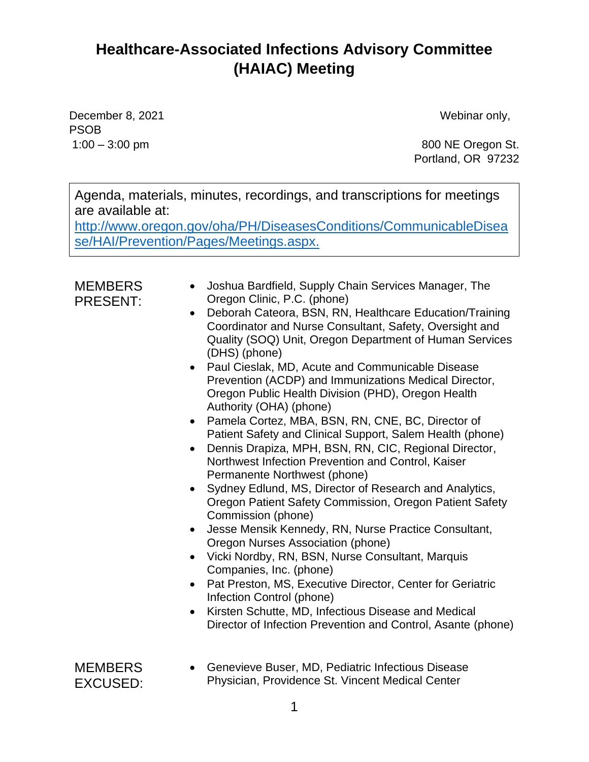December 8, 2021 and the contract of the US of the Webinar only, PSOB

1:00 – 3:00 pm 800 NE Oregon St. Portland, OR 97232

Agenda, materials, minutes, recordings, and transcriptions for meetings are available at:

[http://www.oregon.gov/oha/PH/DiseasesConditions/CommunicableDisea](http://www.oregon.gov/oha/PH/DiseasesConditions/CommunicableDisease/HAI/Prevention/Pages/Meetings.aspx) [se/HAI/Prevention/Pages/Meetings.aspx.](http://www.oregon.gov/oha/PH/DiseasesConditions/CommunicableDisease/HAI/Prevention/Pages/Meetings.aspx)

#### **MEMBERS** PRESENT:

- Joshua Bardfield, Supply Chain Services Manager, The Oregon Clinic, P.C. (phone)
- Deborah Cateora, BSN, RN, Healthcare Education/Training Coordinator and Nurse Consultant, Safety, Oversight and Quality (SOQ) Unit, Oregon Department of Human Services (DHS) (phone)
- Paul Cieslak, MD, Acute and Communicable Disease Prevention (ACDP) and Immunizations Medical Director, Oregon Public Health Division (PHD), Oregon Health Authority (OHA) (phone)
- Pamela Cortez, MBA, BSN, RN, CNE, BC, Director of Patient Safety and Clinical Support, Salem Health (phone)
- Dennis Drapiza, MPH, BSN, RN, CIC, Regional Director, Northwest Infection Prevention and Control, Kaiser Permanente Northwest (phone)
- Sydney Edlund, MS, Director of Research and Analytics, Oregon Patient Safety Commission, Oregon Patient Safety Commission (phone)
- Jesse Mensik Kennedy, RN, Nurse Practice Consultant, Oregon Nurses Association (phone)
- Vicki Nordby, RN, BSN, Nurse Consultant, Marquis Companies, Inc. (phone)
- Pat Preston, MS, Executive Director, Center for Geriatric Infection Control (phone)
- Kirsten Schutte, MD, Infectious Disease and Medical Director of Infection Prevention and Control, Asante (phone)

| MEMBERS  |  |
|----------|--|
| EXCUSED: |  |

• Genevieve Buser, MD, Pediatric Infectious Disease Physician, Providence St. Vincent Medical Center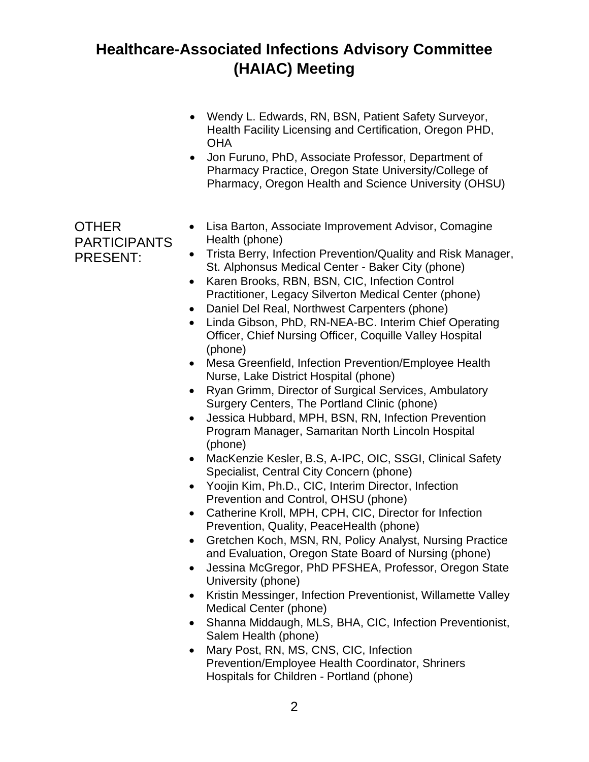- Wendy L. Edwards, RN, BSN, Patient Safety Surveyor, Health Facility Licensing and Certification, Oregon PHD, **OHA**
- Jon Furuno, PhD, Associate Professor, Department of Pharmacy Practice, Oregon State University/College of Pharmacy, Oregon Health and Science University (OHSU)

OTHER PARTICIPANTS PRESENT:

- Lisa Barton, Associate Improvement Advisor, Comagine Health (phone)
- Trista Berry, Infection Prevention/Quality and Risk Manager, St. Alphonsus Medical Center - Baker City (phone)
- Karen Brooks, RBN, BSN, CIC, Infection Control Practitioner, Legacy Silverton Medical Center (phone)
- Daniel Del Real, Northwest Carpenters (phone)
- Linda Gibson, PhD, RN-NEA-BC. Interim Chief Operating Officer, Chief Nursing Officer, Coquille Valley Hospital (phone)
- Mesa Greenfield, Infection Prevention/Employee Health Nurse, Lake District Hospital (phone)
- Ryan Grimm, Director of Surgical Services, Ambulatory Surgery Centers, The Portland Clinic (phone)
- Jessica Hubbard, MPH, BSN, RN, Infection Prevention Program Manager, Samaritan North Lincoln Hospital (phone)
- MacKenzie Kesler, B.S, A-IPC, OIC, SSGI, Clinical Safety Specialist, Central City Concern (phone)
- Yoojin Kim, Ph.D., CIC, Interim Director, Infection Prevention and Control, OHSU (phone)
- Catherine Kroll, MPH, CPH, CIC, Director for Infection Prevention, Quality, PeaceHealth (phone)
- Gretchen Koch, MSN, RN, Policy Analyst, Nursing Practice and Evaluation, Oregon State Board of Nursing (phone)
- Jessina McGregor, PhD PFSHEA, Professor, Oregon State University (phone)
- Kristin Messinger, Infection Preventionist, Willamette Valley Medical Center (phone)
- Shanna Middaugh, MLS, BHA, CIC, Infection Preventionist, Salem Health (phone)
- Mary Post, RN, MS, CNS, CIC, Infection Prevention/Employee Health Coordinator, Shriners Hospitals for Children - Portland (phone)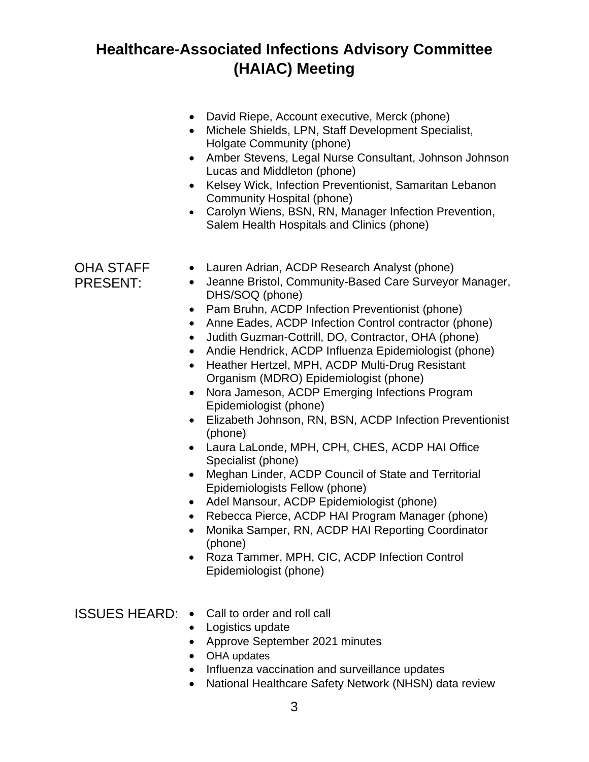- David Riepe, Account executive, Merck (phone)
- Michele Shields, LPN, Staff Development Specialist, Holgate Community (phone)
- Amber Stevens, Legal Nurse Consultant, Johnson Johnson Lucas and Middleton (phone)
- Kelsey Wick, Infection Preventionist, Samaritan Lebanon Community Hospital (phone)
- Carolyn Wiens, BSN, RN, Manager Infection Prevention, Salem Health Hospitals and Clinics (phone)

OHA STAFF PRESENT:

- Lauren Adrian, ACDP Research Analyst (phone)
- Jeanne Bristol, Community-Based Care Surveyor Manager, DHS/SOQ (phone)
- Pam Bruhn, ACDP Infection Preventionist (phone)
- Anne Eades, ACDP Infection Control contractor (phone)
- Judith Guzman-Cottrill, DO, Contractor, OHA (phone)
- Andie Hendrick, ACDP Influenza Epidemiologist (phone)
- Heather Hertzel, MPH, ACDP Multi-Drug Resistant Organism (MDRO) Epidemiologist (phone)
- Nora Jameson, ACDP Emerging Infections Program Epidemiologist (phone)
- Elizabeth Johnson, RN, BSN, ACDP Infection Preventionist (phone)
- Laura LaLonde, MPH, CPH, CHES, ACDP HAI Office Specialist (phone)
- Meghan Linder, ACDP Council of State and Territorial Epidemiologists Fellow (phone)
- Adel Mansour, ACDP Epidemiologist (phone)
- Rebecca Pierce, ACDP HAI Program Manager (phone)
- Monika Samper, RN, ACDP HAI Reporting Coordinator (phone)
- Roza Tammer, MPH, CIC, ACDP Infection Control Epidemiologist (phone)
- ISSUES HEARD: Call to order and roll call
	- Logistics update
	- Approve September 2021 minutes
	- OHA updates
	- Influenza vaccination and surveillance updates
	- National Healthcare Safety Network (NHSN) data review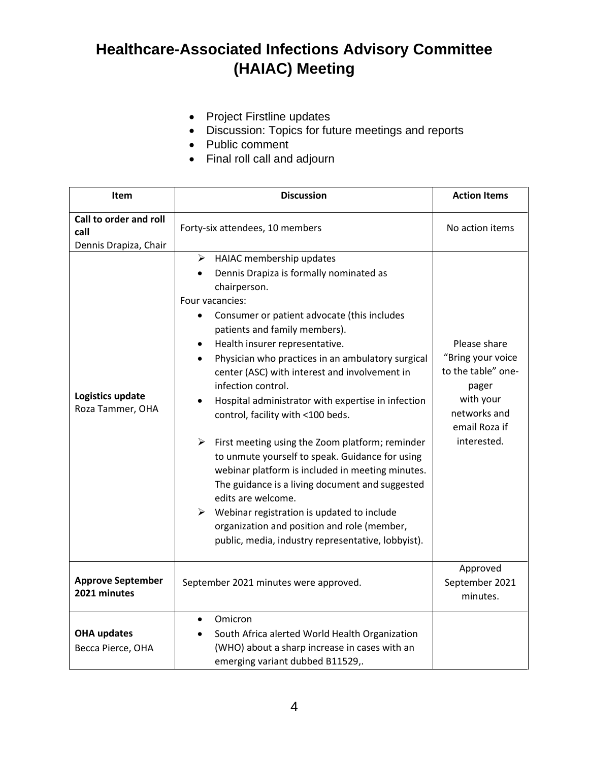- Project Firstline updates
- Discussion: Topics for future meetings and reports
- Public comment
- Final roll call and adjourn

| Item                                                    | <b>Discussion</b>                                                                                                                                                                                                                                                                                                                                                                                                                                                                                                                                                                                                                                                                                                                                                                                                                                                                                                                       | <b>Action Items</b>                                                                                                           |
|---------------------------------------------------------|-----------------------------------------------------------------------------------------------------------------------------------------------------------------------------------------------------------------------------------------------------------------------------------------------------------------------------------------------------------------------------------------------------------------------------------------------------------------------------------------------------------------------------------------------------------------------------------------------------------------------------------------------------------------------------------------------------------------------------------------------------------------------------------------------------------------------------------------------------------------------------------------------------------------------------------------|-------------------------------------------------------------------------------------------------------------------------------|
| Call to order and roll<br>call<br>Dennis Drapiza, Chair | Forty-six attendees, 10 members                                                                                                                                                                                                                                                                                                                                                                                                                                                                                                                                                                                                                                                                                                                                                                                                                                                                                                         | No action items                                                                                                               |
| Logistics update<br>Roza Tammer, OHA                    | $\triangleright$ HAIAC membership updates<br>Dennis Drapiza is formally nominated as<br>chairperson.<br>Four vacancies:<br>Consumer or patient advocate (this includes<br>$\bullet$<br>patients and family members).<br>Health insurer representative.<br>$\bullet$<br>Physician who practices in an ambulatory surgical<br>$\bullet$<br>center (ASC) with interest and involvement in<br>infection control.<br>Hospital administrator with expertise in infection<br>control, facility with <100 beds.<br>$\blacktriangleright$<br>First meeting using the Zoom platform; reminder<br>to unmute yourself to speak. Guidance for using<br>webinar platform is included in meeting minutes.<br>The guidance is a living document and suggested<br>edits are welcome.<br>$\triangleright$ Webinar registration is updated to include<br>organization and position and role (member,<br>public, media, industry representative, lobbyist). | Please share<br>"Bring your voice<br>to the table" one-<br>pager<br>with your<br>networks and<br>email Roza if<br>interested. |
| <b>Approve September</b><br>2021 minutes                | September 2021 minutes were approved.                                                                                                                                                                                                                                                                                                                                                                                                                                                                                                                                                                                                                                                                                                                                                                                                                                                                                                   | Approved<br>September 2021<br>minutes.                                                                                        |
| <b>OHA updates</b><br>Becca Pierce, OHA                 | Omicron<br>$\bullet$<br>South Africa alerted World Health Organization<br>$\bullet$<br>(WHO) about a sharp increase in cases with an<br>emerging variant dubbed B11529,.                                                                                                                                                                                                                                                                                                                                                                                                                                                                                                                                                                                                                                                                                                                                                                |                                                                                                                               |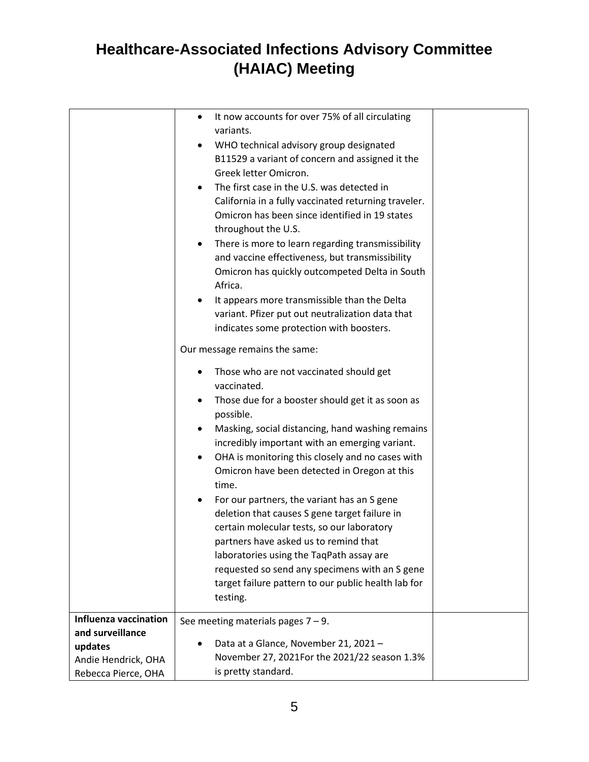|                                                                                                           | It now accounts for over 75% of all circulating<br>$\bullet$<br>variants.<br>WHO technical advisory group designated<br>$\bullet$<br>B11529 a variant of concern and assigned it the<br>Greek letter Omicron.<br>The first case in the U.S. was detected in<br>California in a fully vaccinated returning traveler.<br>Omicron has been since identified in 19 states<br>throughout the U.S.<br>There is more to learn regarding transmissibility<br>and vaccine effectiveness, but transmissibility<br>Omicron has quickly outcompeted Delta in South<br>Africa.<br>It appears more transmissible than the Delta<br>variant. Pfizer put out neutralization data that<br>indicates some protection with boosters.<br>Our message remains the same:<br>Those who are not vaccinated should get<br>vaccinated.<br>Those due for a booster should get it as soon as |  |
|-----------------------------------------------------------------------------------------------------------|------------------------------------------------------------------------------------------------------------------------------------------------------------------------------------------------------------------------------------------------------------------------------------------------------------------------------------------------------------------------------------------------------------------------------------------------------------------------------------------------------------------------------------------------------------------------------------------------------------------------------------------------------------------------------------------------------------------------------------------------------------------------------------------------------------------------------------------------------------------|--|
|                                                                                                           | possible.<br>Masking, social distancing, hand washing remains<br>incredibly important with an emerging variant.<br>OHA is monitoring this closely and no cases with<br>Omicron have been detected in Oregon at this<br>time.<br>For our partners, the variant has an S gene<br>deletion that causes S gene target failure in<br>certain molecular tests, so our laboratory<br>partners have asked us to remind that<br>laboratories using the TaqPath assay are<br>requested so send any specimens with an S gene<br>target failure pattern to our public health lab for<br>testing.                                                                                                                                                                                                                                                                             |  |
| <b>Influenza vaccination</b><br>and surveillance<br>updates<br>Andie Hendrick, OHA<br>Rebecca Pierce, OHA | See meeting materials pages $7 - 9$ .<br>Data at a Glance, November 21, 2021 -<br>November 27, 2021For the 2021/22 season 1.3%<br>is pretty standard.                                                                                                                                                                                                                                                                                                                                                                                                                                                                                                                                                                                                                                                                                                            |  |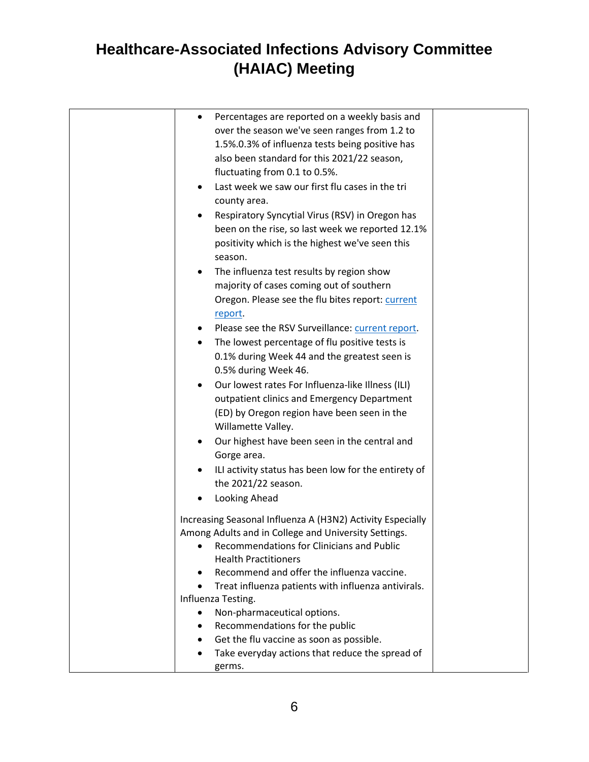| Percentages are reported on a weekly basis and<br>$\bullet$      |  |
|------------------------------------------------------------------|--|
| over the season we've seen ranges from 1.2 to                    |  |
| 1.5%.0.3% of influenza tests being positive has                  |  |
| also been standard for this 2021/22 season,                      |  |
| fluctuating from 0.1 to 0.5%.                                    |  |
| Last week we saw our first flu cases in the tri<br>$\bullet$     |  |
| county area.                                                     |  |
| Respiratory Syncytial Virus (RSV) in Oregon has                  |  |
| been on the rise, so last week we reported 12.1%                 |  |
| positivity which is the highest we've seen this<br>season.       |  |
| The influenza test results by region show<br>$\bullet$           |  |
| majority of cases coming out of southern                         |  |
| Oregon. Please see the flu bites report: current                 |  |
| report.                                                          |  |
| Please see the RSV Surveillance: current report.<br>$\bullet$    |  |
| The lowest percentage of flu positive tests is<br>$\bullet$      |  |
| 0.1% during Week 44 and the greatest seen is                     |  |
| 0.5% during Week 46.                                             |  |
| Our lowest rates For Influenza-like Illness (ILI)<br>$\bullet$   |  |
| outpatient clinics and Emergency Department                      |  |
| (ED) by Oregon region have been seen in the                      |  |
| Willamette Valley.                                               |  |
| Our highest have been seen in the central and<br>$\bullet$       |  |
| Gorge area.                                                      |  |
| ILI activity status has been low for the entirety of<br>٠        |  |
| the 2021/22 season.                                              |  |
| Looking Ahead                                                    |  |
|                                                                  |  |
| Increasing Seasonal Influenza A (H3N2) Activity Especially       |  |
| Among Adults and in College and University Settings.             |  |
| Recommendations for Clinicians and Public<br>$\bullet$           |  |
| <b>Health Practitioners</b>                                      |  |
| Recommend and offer the influenza vaccine.                       |  |
| Treat influenza patients with influenza antivirals.<br>$\bullet$ |  |
| Influenza Testing.                                               |  |
| Non-pharmaceutical options.                                      |  |
| Recommendations for the public<br>٠                              |  |
| Get the flu vaccine as soon as possible.                         |  |
| Take everyday actions that reduce the spread of                  |  |
| germs.                                                           |  |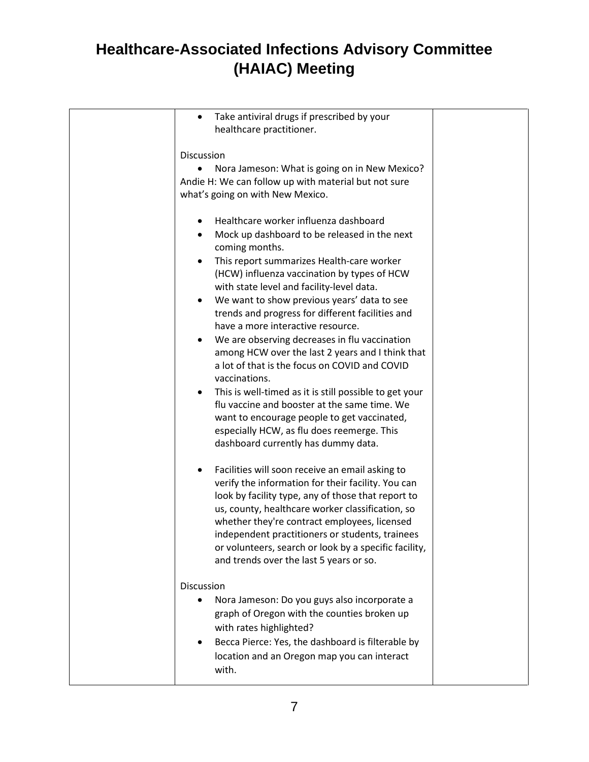| Take antiviral drugs if prescribed by your<br>healthcare practitioner.                                                                                                                                                                                                                                                                                                                                                                                                                                                                                                                                                                                                                                                                                                                                        |  |
|---------------------------------------------------------------------------------------------------------------------------------------------------------------------------------------------------------------------------------------------------------------------------------------------------------------------------------------------------------------------------------------------------------------------------------------------------------------------------------------------------------------------------------------------------------------------------------------------------------------------------------------------------------------------------------------------------------------------------------------------------------------------------------------------------------------|--|
| Discussion<br>Nora Jameson: What is going on in New Mexico?<br>Andie H: We can follow up with material but not sure<br>what's going on with New Mexico.                                                                                                                                                                                                                                                                                                                                                                                                                                                                                                                                                                                                                                                       |  |
| Healthcare worker influenza dashboard<br>Mock up dashboard to be released in the next<br>coming months.<br>This report summarizes Health-care worker<br>(HCW) influenza vaccination by types of HCW<br>with state level and facility-level data.<br>We want to show previous years' data to see<br>trends and progress for different facilities and<br>have a more interactive resource.<br>We are observing decreases in flu vaccination<br>among HCW over the last 2 years and I think that<br>a lot of that is the focus on COVID and COVID<br>vaccinations.<br>This is well-timed as it is still possible to get your<br>flu vaccine and booster at the same time. We<br>want to encourage people to get vaccinated,<br>especially HCW, as flu does reemerge. This<br>dashboard currently has dummy data. |  |
| Facilities will soon receive an email asking to<br>verify the information for their facility. You can<br>look by facility type, any of those that report to<br>us, county, healthcare worker classification, so<br>whether they're contract employees, licensed<br>independent practitioners or students, trainees<br>or volunteers, search or look by a specific facility,<br>and trends over the last 5 years or so.                                                                                                                                                                                                                                                                                                                                                                                        |  |
| <b>Discussion</b><br>Nora Jameson: Do you guys also incorporate a<br>graph of Oregon with the counties broken up<br>with rates highlighted?<br>Becca Pierce: Yes, the dashboard is filterable by<br>location and an Oregon map you can interact<br>with.                                                                                                                                                                                                                                                                                                                                                                                                                                                                                                                                                      |  |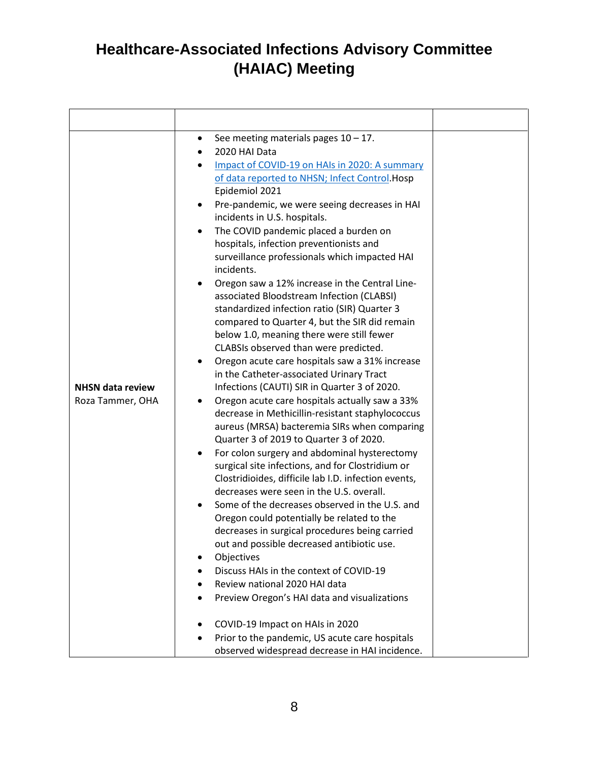| <b>NHSN data review</b><br>Roza Tammer, OHA | See meeting materials pages $10 - 17$ .<br>٠<br>2020 HAI Data<br>Impact of COVID-19 on HAIs in 2020: A summary<br>of data reported to NHSN; Infect Control. Hosp<br>Epidemiol 2021<br>Pre-pandemic, we were seeing decreases in HAI<br>٠<br>incidents in U.S. hospitals.<br>The COVID pandemic placed a burden on<br>hospitals, infection preventionists and<br>surveillance professionals which impacted HAI<br>incidents.<br>Oregon saw a 12% increase in the Central Line-<br>associated Bloodstream Infection (CLABSI)<br>standardized infection ratio (SIR) Quarter 3<br>compared to Quarter 4, but the SIR did remain<br>below 1.0, meaning there were still fewer<br>CLABSIs observed than were predicted.<br>Oregon acute care hospitals saw a 31% increase<br>٠<br>in the Catheter-associated Urinary Tract<br>Infections (CAUTI) SIR in Quarter 3 of 2020.<br>Oregon acute care hospitals actually saw a 33%<br>٠<br>decrease in Methicillin-resistant staphylococcus<br>aureus (MRSA) bacteremia SIRs when comparing<br>Quarter 3 of 2019 to Quarter 3 of 2020.<br>For colon surgery and abdominal hysterectomy<br>$\bullet$<br>surgical site infections, and for Clostridium or<br>Clostridioides, difficile lab I.D. infection events,<br>decreases were seen in the U.S. overall.<br>Some of the decreases observed in the U.S. and<br>Oregon could potentially be related to the<br>decreases in surgical procedures being carried<br>out and possible decreased antibiotic use.<br>Objectives<br>Discuss HAIs in the context of COVID-19<br>$\bullet$<br>Review national 2020 HAI data<br>Preview Oregon's HAI data and visualizations<br>COVID-19 Impact on HAIs in 2020<br>Prior to the pandemic, US acute care hospitals |  |
|---------------------------------------------|---------------------------------------------------------------------------------------------------------------------------------------------------------------------------------------------------------------------------------------------------------------------------------------------------------------------------------------------------------------------------------------------------------------------------------------------------------------------------------------------------------------------------------------------------------------------------------------------------------------------------------------------------------------------------------------------------------------------------------------------------------------------------------------------------------------------------------------------------------------------------------------------------------------------------------------------------------------------------------------------------------------------------------------------------------------------------------------------------------------------------------------------------------------------------------------------------------------------------------------------------------------------------------------------------------------------------------------------------------------------------------------------------------------------------------------------------------------------------------------------------------------------------------------------------------------------------------------------------------------------------------------------------------------------------------------------------------------------------------------------|--|
|                                             | observed widespread decrease in HAI incidence.                                                                                                                                                                                                                                                                                                                                                                                                                                                                                                                                                                                                                                                                                                                                                                                                                                                                                                                                                                                                                                                                                                                                                                                                                                                                                                                                                                                                                                                                                                                                                                                                                                                                                              |  |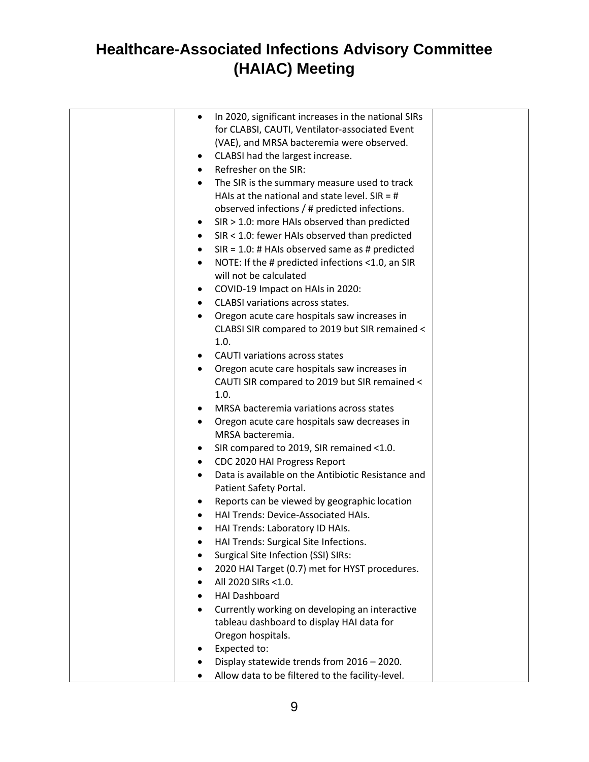| $\bullet$      | In 2020, significant increases in the national SIRs                                 |  |
|----------------|-------------------------------------------------------------------------------------|--|
|                | for CLABSI, CAUTI, Ventilator-associated Event                                      |  |
|                | (VAE), and MRSA bacteremia were observed.                                           |  |
| $\bullet$      | CLABSI had the largest increase.                                                    |  |
| $\bullet$      | Refresher on the SIR:                                                               |  |
|                | The SIR is the summary measure used to track                                        |  |
|                | HAIs at the national and state level. $SIR = #$                                     |  |
|                | observed infections / # predicted infections.                                       |  |
| $\bullet$      | SIR > 1.0: more HAIs observed than predicted                                        |  |
| $\bullet$      | SIR < 1.0: fewer HAIs observed than predicted                                       |  |
| $\bullet$      | $SIR = 1.0$ : # HAIs observed same as # predicted                                   |  |
| $\bullet$      | NOTE: If the # predicted infections <1.0, an SIR                                    |  |
|                | will not be calculated                                                              |  |
| ٠              | COVID-19 Impact on HAIs in 2020:                                                    |  |
| $\bullet$      | <b>CLABSI variations across states.</b>                                             |  |
| ٠              | Oregon acute care hospitals saw increases in                                        |  |
|                | CLABSI SIR compared to 2019 but SIR remained <                                      |  |
|                | 1.0.                                                                                |  |
|                | <b>CAUTI variations across states</b>                                               |  |
|                | Oregon acute care hospitals saw increases in                                        |  |
|                | CAUTI SIR compared to 2019 but SIR remained <                                       |  |
|                | 1.0.                                                                                |  |
| $\bullet$      | MRSA bacteremia variations across states                                            |  |
| $\bullet$      | Oregon acute care hospitals saw decreases in                                        |  |
|                | MRSA bacteremia.                                                                    |  |
| ٠              | SIR compared to 2019, SIR remained <1.0.                                            |  |
| $\bullet$      | CDC 2020 HAI Progress Report                                                        |  |
| $\bullet$      | Data is available on the Antibiotic Resistance and                                  |  |
|                | Patient Safety Portal.                                                              |  |
| ٠<br>$\bullet$ | Reports can be viewed by geographic location<br>HAI Trends: Device-Associated HAIs. |  |
| $\bullet$      | HAI Trends: Laboratory ID HAIs.                                                     |  |
|                | HAI Trends: Surgical Site Infections.                                               |  |
|                | Surgical Site Infection (SSI) SIRs:                                                 |  |
|                | 2020 HAI Target (0.7) met for HYST procedures.                                      |  |
|                | All 2020 SIRs <1.0.                                                                 |  |
| $\bullet$      | <b>HAI Dashboard</b>                                                                |  |
| ٠              | Currently working on developing an interactive                                      |  |
|                | tableau dashboard to display HAI data for                                           |  |
|                | Oregon hospitals.                                                                   |  |
|                | Expected to:                                                                        |  |
|                | Display statewide trends from 2016 - 2020.                                          |  |
|                | Allow data to be filtered to the facility-level.                                    |  |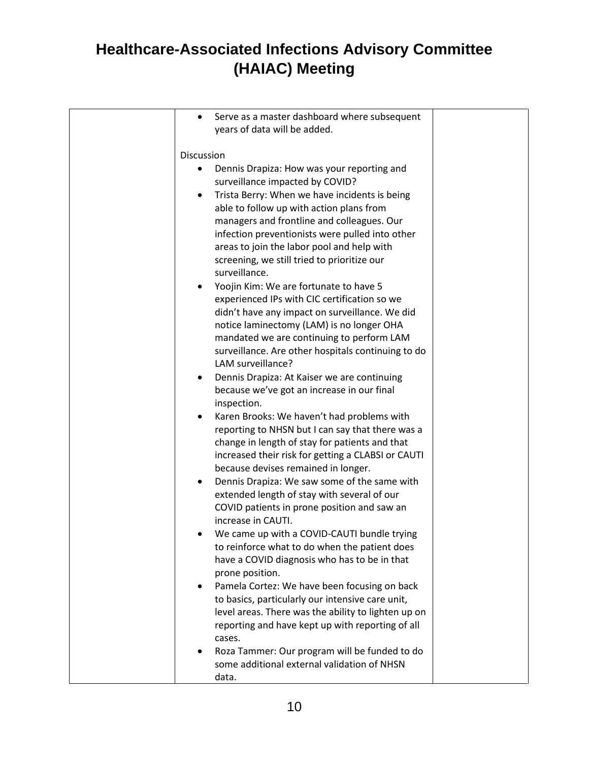| Serve as a master dashboard where subsequent<br>years of data will be added.                                                                                                                                                                                                                                                                                                                                                                     |  |
|--------------------------------------------------------------------------------------------------------------------------------------------------------------------------------------------------------------------------------------------------------------------------------------------------------------------------------------------------------------------------------------------------------------------------------------------------|--|
| Discussion                                                                                                                                                                                                                                                                                                                                                                                                                                       |  |
| Dennis Drapiza: How was your reporting and<br>surveillance impacted by COVID?<br>Trista Berry: When we have incidents is being<br>$\bullet$<br>able to follow up with action plans from<br>managers and frontline and colleagues. Our<br>infection preventionists were pulled into other<br>areas to join the labor pool and help with<br>screening, we still tried to prioritize our<br>surveillance.<br>Yoojin Kim: We are fortunate to have 5 |  |
| experienced IPs with CIC certification so we<br>didn't have any impact on surveillance. We did<br>notice laminectomy (LAM) is no longer OHA<br>mandated we are continuing to perform LAM<br>surveillance. Are other hospitals continuing to do<br>LAM surveillance?<br>Dennis Drapiza: At Kaiser we are continuing<br>because we've got an increase in our final<br>inspection.                                                                  |  |
| Karen Brooks: We haven't had problems with<br>reporting to NHSN but I can say that there was a<br>change in length of stay for patients and that<br>increased their risk for getting a CLABSI or CAUTI<br>because devises remained in longer.                                                                                                                                                                                                    |  |
| Dennis Drapiza: We saw some of the same with<br>٠<br>extended length of stay with several of our<br>COVID patients in prone position and saw an<br>increase in CAUTI.                                                                                                                                                                                                                                                                            |  |
| We came up with a COVID-CAUTI bundle trying<br>to reinforce what to do when the patient does<br>have a COVID diagnosis who has to be in that<br>prone position.                                                                                                                                                                                                                                                                                  |  |
| Pamela Cortez: We have been focusing on back<br>٠<br>to basics, particularly our intensive care unit,<br>level areas. There was the ability to lighten up on<br>reporting and have kept up with reporting of all<br>cases.                                                                                                                                                                                                                       |  |
| Roza Tammer: Our program will be funded to do<br>some additional external validation of NHSN<br>data.                                                                                                                                                                                                                                                                                                                                            |  |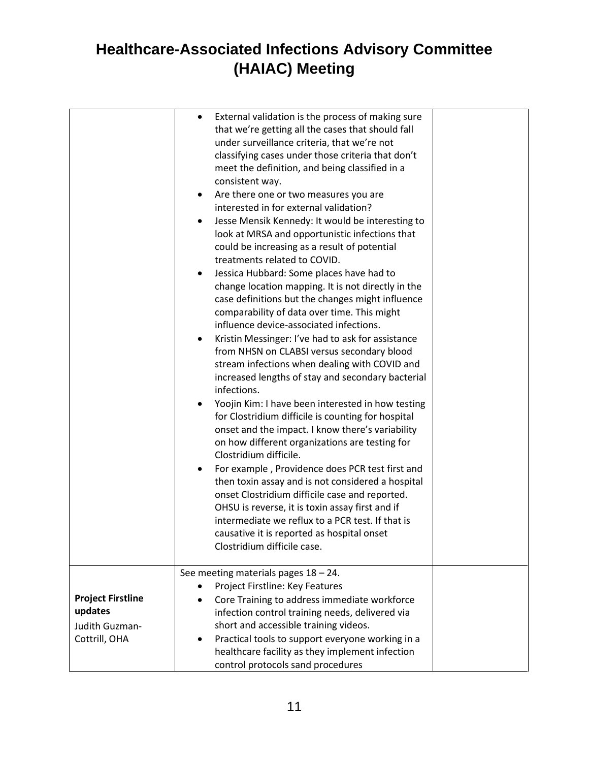|                                                       | External validation is the process of making sure<br>that we're getting all the cases that should fall<br>under surveillance criteria, that we're not<br>classifying cases under those criteria that don't<br>meet the definition, and being classified in a<br>consistent way.<br>Are there one or two measures you are<br>٠<br>interested in for external validation?<br>Jesse Mensik Kennedy: It would be interesting to<br>look at MRSA and opportunistic infections that<br>could be increasing as a result of potential<br>treatments related to COVID.<br>Jessica Hubbard: Some places have had to<br>change location mapping. It is not directly in the<br>case definitions but the changes might influence<br>comparability of data over time. This might<br>influence device-associated infections.<br>Kristin Messinger: I've had to ask for assistance<br>from NHSN on CLABSI versus secondary blood<br>stream infections when dealing with COVID and<br>increased lengths of stay and secondary bacterial<br>infections.<br>Yoojin Kim: I have been interested in how testing<br>$\bullet$<br>for Clostridium difficile is counting for hospital<br>onset and the impact. I know there's variability<br>on how different organizations are testing for<br>Clostridium difficile.<br>For example, Providence does PCR test first and<br>then toxin assay and is not considered a hospital<br>onset Clostridium difficile case and reported.<br>OHSU is reverse, it is toxin assay first and if<br>intermediate we reflux to a PCR test. If that is<br>causative it is reported as hospital onset<br>Clostridium difficile case. |  |
|-------------------------------------------------------|---------------------------------------------------------------------------------------------------------------------------------------------------------------------------------------------------------------------------------------------------------------------------------------------------------------------------------------------------------------------------------------------------------------------------------------------------------------------------------------------------------------------------------------------------------------------------------------------------------------------------------------------------------------------------------------------------------------------------------------------------------------------------------------------------------------------------------------------------------------------------------------------------------------------------------------------------------------------------------------------------------------------------------------------------------------------------------------------------------------------------------------------------------------------------------------------------------------------------------------------------------------------------------------------------------------------------------------------------------------------------------------------------------------------------------------------------------------------------------------------------------------------------------------------------------------------------------------------------------------------------------------------|--|
|                                                       | See meeting materials pages $18 - 24$ .<br>Project Firstline: Key Features                                                                                                                                                                                                                                                                                                                                                                                                                                                                                                                                                                                                                                                                                                                                                                                                                                                                                                                                                                                                                                                                                                                                                                                                                                                                                                                                                                                                                                                                                                                                                                  |  |
| <b>Project Firstline</b><br>updates<br>Judith Guzman- | Core Training to address immediate workforce<br>infection control training needs, delivered via<br>short and accessible training videos.                                                                                                                                                                                                                                                                                                                                                                                                                                                                                                                                                                                                                                                                                                                                                                                                                                                                                                                                                                                                                                                                                                                                                                                                                                                                                                                                                                                                                                                                                                    |  |
| Cottrill, OHA                                         | Practical tools to support everyone working in a<br>$\bullet$<br>healthcare facility as they implement infection<br>control protocols sand procedures                                                                                                                                                                                                                                                                                                                                                                                                                                                                                                                                                                                                                                                                                                                                                                                                                                                                                                                                                                                                                                                                                                                                                                                                                                                                                                                                                                                                                                                                                       |  |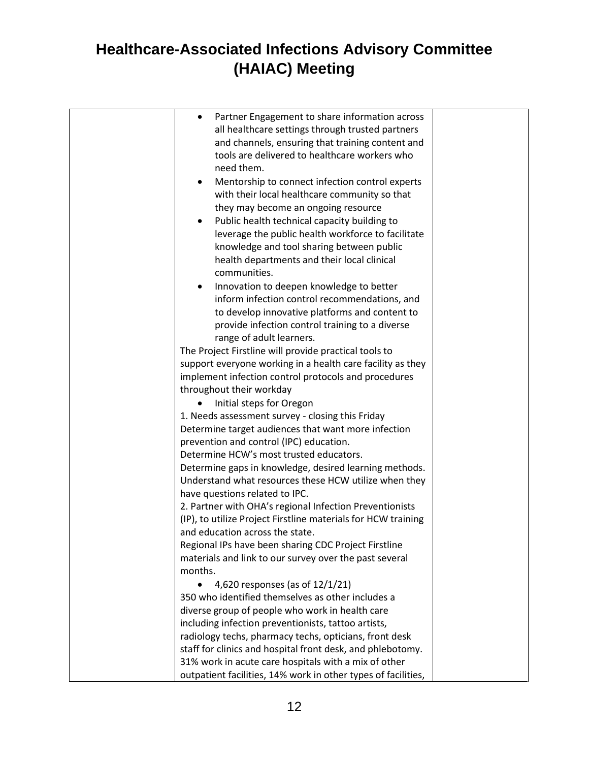| Partner Engagement to share information across<br>$\bullet$<br>all healthcare settings through trusted partners<br>and channels, ensuring that training content and<br>tools are delivered to healthcare workers who<br>need them.<br>Mentorship to connect infection control experts<br>$\bullet$<br>with their local healthcare community so that<br>they may become an ongoing resource<br>Public health technical capacity building to<br>$\bullet$<br>leverage the public health workforce to facilitate<br>knowledge and tool sharing between public<br>health departments and their local clinical<br>communities.<br>Innovation to deepen knowledge to better<br>inform infection control recommendations, and<br>to develop innovative platforms and content to<br>provide infection control training to a diverse<br>range of adult learners. |  |
|---------------------------------------------------------------------------------------------------------------------------------------------------------------------------------------------------------------------------------------------------------------------------------------------------------------------------------------------------------------------------------------------------------------------------------------------------------------------------------------------------------------------------------------------------------------------------------------------------------------------------------------------------------------------------------------------------------------------------------------------------------------------------------------------------------------------------------------------------------|--|
| The Project Firstline will provide practical tools to                                                                                                                                                                                                                                                                                                                                                                                                                                                                                                                                                                                                                                                                                                                                                                                                   |  |
| support everyone working in a health care facility as they                                                                                                                                                                                                                                                                                                                                                                                                                                                                                                                                                                                                                                                                                                                                                                                              |  |
| implement infection control protocols and procedures                                                                                                                                                                                                                                                                                                                                                                                                                                                                                                                                                                                                                                                                                                                                                                                                    |  |
| throughout their workday                                                                                                                                                                                                                                                                                                                                                                                                                                                                                                                                                                                                                                                                                                                                                                                                                                |  |
| Initial steps for Oregon<br>1. Needs assessment survey - closing this Friday                                                                                                                                                                                                                                                                                                                                                                                                                                                                                                                                                                                                                                                                                                                                                                            |  |
| Determine target audiences that want more infection                                                                                                                                                                                                                                                                                                                                                                                                                                                                                                                                                                                                                                                                                                                                                                                                     |  |
| prevention and control (IPC) education.                                                                                                                                                                                                                                                                                                                                                                                                                                                                                                                                                                                                                                                                                                                                                                                                                 |  |
| Determine HCW's most trusted educators.                                                                                                                                                                                                                                                                                                                                                                                                                                                                                                                                                                                                                                                                                                                                                                                                                 |  |
| Determine gaps in knowledge, desired learning methods.<br>Understand what resources these HCW utilize when they<br>have questions related to IPC.                                                                                                                                                                                                                                                                                                                                                                                                                                                                                                                                                                                                                                                                                                       |  |
| 2. Partner with OHA's regional Infection Preventionists                                                                                                                                                                                                                                                                                                                                                                                                                                                                                                                                                                                                                                                                                                                                                                                                 |  |
| (IP), to utilize Project Firstline materials for HCW training                                                                                                                                                                                                                                                                                                                                                                                                                                                                                                                                                                                                                                                                                                                                                                                           |  |
| and education across the state.                                                                                                                                                                                                                                                                                                                                                                                                                                                                                                                                                                                                                                                                                                                                                                                                                         |  |
| Regional IPs have been sharing CDC Project Firstline                                                                                                                                                                                                                                                                                                                                                                                                                                                                                                                                                                                                                                                                                                                                                                                                    |  |
| materials and link to our survey over the past several                                                                                                                                                                                                                                                                                                                                                                                                                                                                                                                                                                                                                                                                                                                                                                                                  |  |
| months.                                                                                                                                                                                                                                                                                                                                                                                                                                                                                                                                                                                                                                                                                                                                                                                                                                                 |  |
| 4,620 responses (as of 12/1/21)<br>$\bullet$<br>350 who identified themselves as other includes a                                                                                                                                                                                                                                                                                                                                                                                                                                                                                                                                                                                                                                                                                                                                                       |  |
| diverse group of people who work in health care                                                                                                                                                                                                                                                                                                                                                                                                                                                                                                                                                                                                                                                                                                                                                                                                         |  |
| including infection preventionists, tattoo artists,                                                                                                                                                                                                                                                                                                                                                                                                                                                                                                                                                                                                                                                                                                                                                                                                     |  |
| radiology techs, pharmacy techs, opticians, front desk                                                                                                                                                                                                                                                                                                                                                                                                                                                                                                                                                                                                                                                                                                                                                                                                  |  |
| staff for clinics and hospital front desk, and phlebotomy.                                                                                                                                                                                                                                                                                                                                                                                                                                                                                                                                                                                                                                                                                                                                                                                              |  |
| 31% work in acute care hospitals with a mix of other<br>outpatient facilities, 14% work in other types of facilities,                                                                                                                                                                                                                                                                                                                                                                                                                                                                                                                                                                                                                                                                                                                                   |  |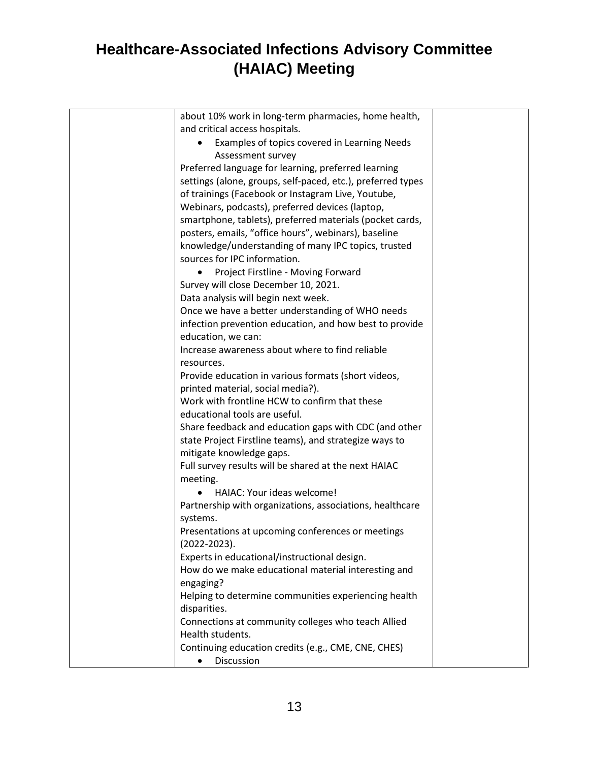| about 10% work in long-term pharmacies, home health,                   |  |
|------------------------------------------------------------------------|--|
| and critical access hospitals.                                         |  |
| Examples of topics covered in Learning Needs                           |  |
| Assessment survey                                                      |  |
| Preferred language for learning, preferred learning                    |  |
| settings (alone, groups, self-paced, etc.), preferred types            |  |
| of trainings (Facebook or Instagram Live, Youtube,                     |  |
| Webinars, podcasts), preferred devices (laptop,                        |  |
| smartphone, tablets), preferred materials (pocket cards,               |  |
| posters, emails, "office hours", webinars), baseline                   |  |
| knowledge/understanding of many IPC topics, trusted                    |  |
| sources for IPC information.                                           |  |
| Project Firstline - Moving Forward                                     |  |
| Survey will close December 10, 2021.                                   |  |
| Data analysis will begin next week.                                    |  |
| Once we have a better understanding of WHO needs                       |  |
| infection prevention education, and how best to provide                |  |
| education, we can:                                                     |  |
| Increase awareness about where to find reliable                        |  |
| resources.                                                             |  |
| Provide education in various formats (short videos,                    |  |
| printed material, social media?).                                      |  |
| Work with frontline HCW to confirm that these                          |  |
| educational tools are useful.                                          |  |
| Share feedback and education gaps with CDC (and other                  |  |
| state Project Firstline teams), and strategize ways to                 |  |
| mitigate knowledge gaps.                                               |  |
| Full survey results will be shared at the next HAIAC                   |  |
| meeting.                                                               |  |
| HAIAC: Your ideas welcome!                                             |  |
| Partnership with organizations, associations, healthcare               |  |
| systems.                                                               |  |
| Presentations at upcoming conferences or meetings                      |  |
| $(2022 - 2023).$                                                       |  |
| Experts in educational/instructional design.                           |  |
| How do we make educational material interesting and                    |  |
| engaging?                                                              |  |
| Helping to determine communities experiencing health                   |  |
| disparities.                                                           |  |
| Connections at community colleges who teach Allied<br>Health students. |  |
|                                                                        |  |
| Continuing education credits (e.g., CME, CNE, CHES)                    |  |
| Discussion                                                             |  |